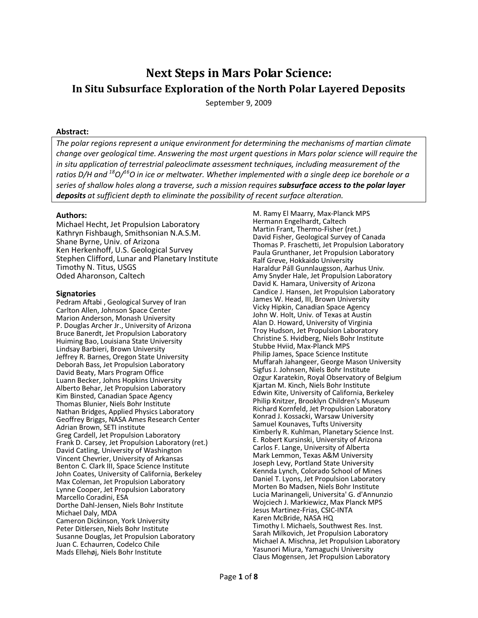# Next Steps in Mars Polar Science: In Situ Subsurface Exploration of the North Polar Layered Deposits

September 9, 2009

#### Abstract:

The polar regions represent a unique environment for determining the mechanisms of martian climate change over geological time. Answering the most urgent questions in Mars polar science will require the in situ application of terrestrial paleoclimate assessment techniques, including measurement of the ratios D/H and  $^{18}O/^{16}$ O in ice or meltwater. Whether implemented with a single deep ice borehole or a series of shallow holes along a traverse, such a mission requires subsurface access to the polar layer deposits at sufficient depth to eliminate the possibility of recent surface alteration.

#### Authors:

Michael Hecht, Jet Propulsion Laboratory Kathryn Fishbaugh, Smithsonian N.A.S.M. Shane Byrne, Univ. of Arizona Ken Herkenhoff, U.S. Geological Survey Stephen Clifford, Lunar and Planetary Institute Timothy N. Titus, USGS Oded Aharonson, Caltech

#### **Signatories**

Pedram Aftabi , Geological Survey of Iran Carlton Allen, Johnson Space Center Marion Anderson, Monash University P. Douglas Archer Jr., University of Arizona Bruce Banerdt, Jet Propulsion Laboratory Huiming Bao, Louisiana State University Lindsay Barbieri, Brown University Jeffrey R. Barnes, Oregon State University Deborah Bass, Jet Propulsion Laboratory David Beaty, Mars Program Office Luann Becker, Johns Hopkins University Alberto Behar, Jet Propulsion Laboratory Kim Binsted, Canadian Space Agency Thomas Blunier, Niels Bohr Institute Nathan Bridges, Applied Physics Laboratory Geoffrey Briggs, NASA Ames Research Center Adrian Brown, SETI institute Greg Cardell, Jet Propulsion Laboratory Frank D. Carsey, Jet Propulsion Laboratory (ret.) David Catling, University of Washington Vincent Chevrier, University of Arkansas Benton C. Clark III, Space Science Institute John Coates, University of California, Berkeley Max Coleman, Jet Propulsion Laboratory Lynne Cooper, Jet Propulsion Laboratory Marcello Coradini, ESA Dorthe Dahl-Jensen, Niels Bohr Institute Michael Daly, MDA Cameron Dickinson, York University Peter Ditlersen, Niels Bohr Institute Susanne Douglas, Jet Propulsion Laboratory Juan C. Echaurren, Codelco Chile Mads Ellehøj, Niels Bohr Institute

M. Ramy El Maarry, Max-Planck MPS Hermann Engelhardt, Caltech Martin Frant, Thermo-Fisher (ret.) David Fisher, Geological Survey of Canada Thomas P. Fraschetti, Jet Propulsion Laboratory Paula Grunthaner, Jet Propulsion Laboratory Ralf Greve, Hokkaido University Haraldur Páll Gunnlaugsson, Aarhus Univ. Amy Snyder Hale, Jet Propulsion Laboratory David K. Hamara, University of Arizona Candice J. Hansen, Jet Propulsion Laboratory James W. Head, III, Brown University Vicky Hipkin, Canadian Space Agency John W. Holt, Univ. of Texas at Austin Alan D. Howard, University of Virginia Troy Hudson, Jet Propulsion Laboratory Christine S. Hvidberg, Niels Bohr Institute Stubbe Hviid, Max-Planck MPS Philip James, Space Science Institute Muffarah Jahangeer, George Mason University Sigfus J. Johnsen, Niels Bohr Institute Ozgur Karatekin, Royal Observatory of Belgium Kjartan M. Kinch, Niels Bohr Institute Edwin Kite, University of California, Berkeley Philip Knitzer, Brooklyn Children's Museum Richard Kornfeld, Jet Propulsion Laboratory Konrad J. Kossacki, Warsaw University Samuel Kounaves, Tufts University Kimberly R. Kuhlman, Planetary Science Inst. E. Robert Kursinski, University of Arizona Carlos F. Lange, University of Alberta Mark Lemmon, Texas A&M University Joseph Levy, Portland State University Kennda Lynch, Colorado School of Mines Daniel T. Lyons, Jet Propulsion Laboratory Morten Bo Madsen, Niels Bohr Institute Lucia Marinangeli, Universita' G. d'Annunzio Wojciech J. Markiewicz, Max Planck MPS Jesus Martinez-Frias, CSIC-INTA Karen McBride, NASA HQ Timothy I. Michaels, Southwest Res. Inst. Sarah Milkovich, Jet Propulsion Laboratory Michael A. Mischna, Jet Propulsion Laboratory Yasunori Miura, Yamaguchi University Claus Mogensen, Jet Propulsion Laboratory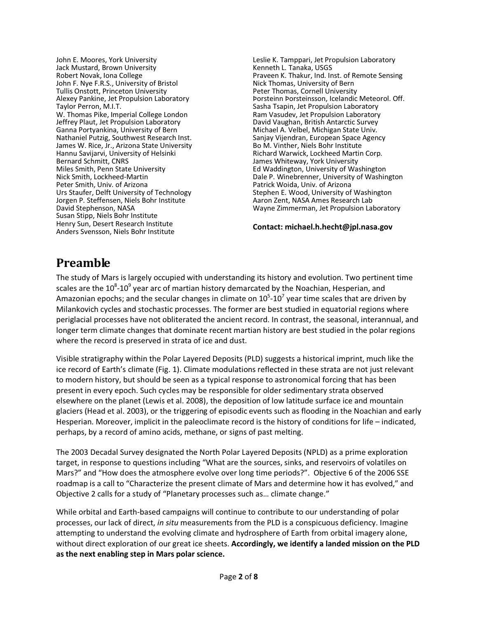John E. Moores, York University Jack Mustard, Brown University Robert Novak, Iona College John F. Nye F.R.S., University of Bristol Tullis Onstott, Princeton University Alexey Pankine, Jet Propulsion Laboratory Taylor Perron, M.I.T. W. Thomas Pike, Imperial College London Jeffrey Plaut, Jet Propulsion Laboratory Ganna Portyankina, University of Bern Nathaniel Putzig, Southwest Research Inst. James W. Rice, Jr., Arizona State University Hannu Savijarvi, University of Helsinki Bernard Schmitt, CNRS Miles Smith, Penn State University Nick Smith, Lockheed-Martin Peter Smith, Univ. of Arizona Urs Staufer, Delft University of Technology Jorgen P. Steffensen, Niels Bohr Institute David Stephenson, NASA Susan Stipp, Niels Bohr Institute Henry Sun, Desert Research Institute Anders Svensson, Niels Bohr Institute

Leslie K. Tamppari, Jet Propulsion Laboratory Kenneth L. Tanaka, USGS Praveen K. Thakur, Ind. Inst. of Remote Sensing Nick Thomas, University of Bern Peter Thomas, Cornell University Þorsteinn Þorsteinsson, Icelandic Meteorol. Off. Sasha Tsapin, Jet Propulsion Laboratory Ram Vasudev, Jet Propulsion Laboratory David Vaughan, British Antarctic Survey Michael A. Velbel, Michigan State Univ. Sanjay Vijendran, European Space Agency Bo M. Vinther, Niels Bohr Institute Richard Warwick, Lockheed Martin Corp. James Whiteway, York University Ed Waddington, University of Washington Dale P. Winebrenner, University of Washington Patrick Woida, Univ. of Arizona Stephen E. Wood, University of Washington Aaron Zent, NASA Ames Research Lab Wayne Zimmerman, Jet Propulsion Laboratory

Contact: michael.h.hecht@jpl.nasa.gov

# Preamble

The study of Mars is largely occupied with understanding its history and evolution. Two pertinent time scales are the  $10^8$ -10<sup>9</sup> year arc of martian history demarcated by the Noachian, Hesperian, and Amazonian epochs; and the secular changes in climate on  $10^5$ -10<sup>7</sup> year time scales that are driven by Milankovich cycles and stochastic processes. The former are best studied in equatorial regions where periglacial processes have not obliterated the ancient record. In contrast, the seasonal, interannual, and longer term climate changes that dominate recent martian history are best studied in the polar regions where the record is preserved in strata of ice and dust.

Visible stratigraphy within the Polar Layered Deposits (PLD) suggests a historical imprint, much like the ice record of Earth's climate (Fig. 1). Climate modulations reflected in these strata are not just relevant to modern history, but should be seen as a typical response to astronomical forcing that has been present in every epoch. Such cycles may be responsible for older sedimentary strata observed elsewhere on the planet (Lewis et al. 2008), the deposition of low latitude surface ice and mountain glaciers (Head et al. 2003), or the triggering of episodic events such as flooding in the Noachian and early Hesperian. Moreover, implicit in the paleoclimate record is the history of conditions for life – indicated, perhaps, by a record of amino acids, methane, or signs of past melting.

The 2003 Decadal Survey designated the North Polar Layered Deposits (NPLD) as a prime exploration target, in response to questions including "What are the sources, sinks, and reservoirs of volatiles on Mars?" and "How does the atmosphere evolve over long time periods?". Objective 6 of the 2006 SSE roadmap is a call to "Characterize the present climate of Mars and determine how it has evolved," and Objective 2 calls for a study of "Planetary processes such as… climate change."

While orbital and Earth-based campaigns will continue to contribute to our understanding of polar processes, our lack of direct, in situ measurements from the PLD is a conspicuous deficiency. Imagine attempting to understand the evolving climate and hydrosphere of Earth from orbital imagery alone, without direct exploration of our great ice sheets. Accordingly, we identify a landed mission on the PLD as the next enabling step in Mars polar science.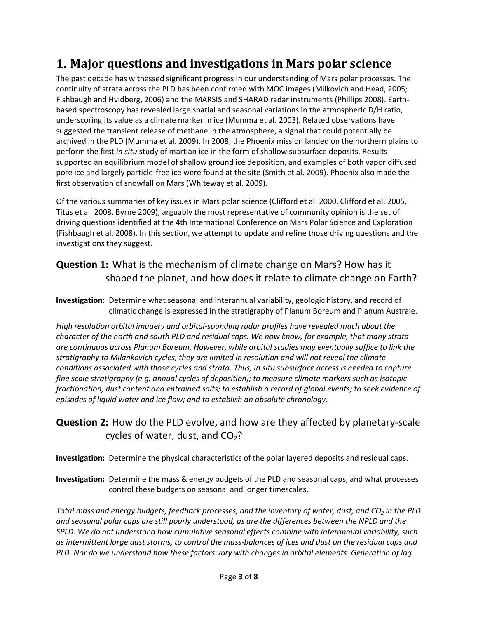## 1. Major questions and investigations in Mars polar science

The past decade has witnessed significant progress in our understanding of Mars polar processes. The continuity of strata across the PLD has been confirmed with MOC images (Milkovich and Head, 2005; Fishbaugh and Hvidberg, 2006) and the MARSIS and SHARAD radar instruments (Phillips 2008). Earthbased spectroscopy has revealed large spatial and seasonal variations in the atmospheric D/H ratio, underscoring its value as a climate marker in ice (Mumma et al. 2003). Related observations have suggested the transient release of methane in the atmosphere, a signal that could potentially be archived in the PLD (Mumma et al. 2009). In 2008, the Phoenix mission landed on the northern plains to perform the first in situ study of martian ice in the form of shallow subsurface deposits. Results supported an equilibrium model of shallow ground ice deposition, and examples of both vapor diffused pore ice and largely particle-free ice were found at the site (Smith et al. 2009). Phoenix also made the first observation of snowfall on Mars (Whiteway et al. 2009).

Of the various summaries of key issues in Mars polar science (Clifford et al. 2000, Clifford et al. 2005, Titus et al. 2008, Byrne 2009), arguably the most representative of community opinion is the set of driving questions identified at the 4th International Conference on Mars Polar Science and Exploration (Fishbaugh et al. 2008). In this section, we attempt to update and refine those driving questions and the investigations they suggest.

### Question 1: What is the mechanism of climate change on Mars? How has it shaped the planet, and how does it relate to climate change on Earth?

Investigation: Determine what seasonal and interannual variability, geologic history, and record of climatic change is expressed in the stratigraphy of Planum Boreum and Planum Australe.

High resolution orbital imagery and orbital-sounding radar profiles have revealed much about the character of the north and south PLD and residual caps. We now know, for example, that many strata are continuous across Planum Boreum. However, while orbital studies may eventually suffice to link the stratigraphy to Milankovich cycles, they are limited in resolution and will not reveal the climate conditions associated with those cycles and strata. Thus, in situ subsurface access is needed to capture fine scale stratigraphy (e.g. annual cycles of deposition); to measure climate markers such as isotopic fractionation, dust content and entrained salts; to establish a record of global events; to seek evidence of episodes of liquid water and ice flow; and to establish an absolute chronology.

### Question 2: How do the PLD evolve, and how are they affected by planetary-scale cycles of water, dust, and  $CO<sub>2</sub>$ ?

Investigation: Determine the physical characteristics of the polar layered deposits and residual caps.

Investigation: Determine the mass & energy budgets of the PLD and seasonal caps, and what processes control these budgets on seasonal and longer timescales.

Total mass and energy budgets, feedback processes, and the inventory of water, dust, and  $CO<sub>2</sub>$  in the PLD and seasonal polar caps are still poorly understood, as are the differences between the NPLD and the SPLD. We do not understand how cumulative seasonal effects combine with interannual variability, such as intermittent large dust storms, to control the mass-balances of ices and dust on the residual caps and PLD. Nor do we understand how these factors vary with changes in orbital elements. Generation of lag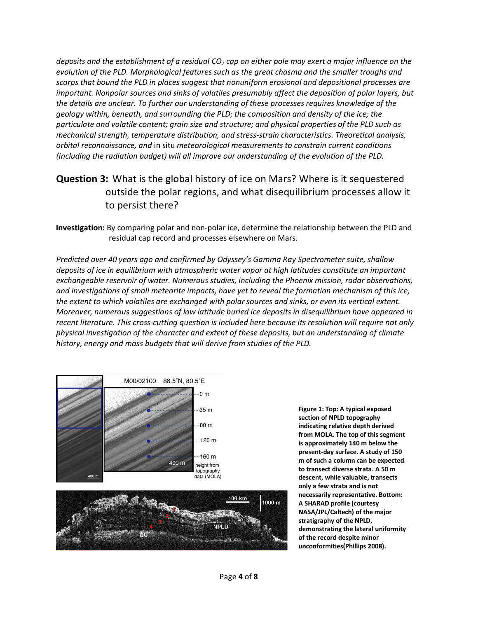deposits and the establishment of a residual  $CO<sub>2</sub>$  cap on either pole may exert a major influence on the evolution of the PLD. Morphological features such as the great chasma and the smaller troughs and scarps that bound the PLD in places suggest that nonuniform erosional and depositional processes are important. Nonpolar sources and sinks of volatiles presumably affect the deposition of polar layers, but the details are unclear. To further our understanding of these processes requires knowledge of the geology within, beneath, and surrounding the PLD; the composition and density of the ice; the particulate and volatile content; grain size and structure; and physical properties of the PLD such as mechanical strength, temperature distribution, and stress-strain characteristics. Theoretical analysis, orbital reconnaissance, and in situ meteorological measurements to constrain current conditions (including the radiation budget) will all improve our understanding of the evolution of the PLD.

### Question 3: What is the global history of ice on Mars? Where is it sequestered outside the polar regions, and what disequilibrium processes allow it to persist there?

Investigation: By comparing polar and non-polar ice, determine the relationship between the PLD and residual cap record and processes elsewhere on Mars.

Predicted over 40 years ago and confirmed by Odyssey's Gamma Ray Spectrometer suite, shallow deposits of ice in equilibrium with atmospheric water vapor at high latitudes constitute an important exchangeable reservoir of water. Numerous studies, including the Phoenix mission, radar observations, and investigations of small meteorite impacts, have yet to reveal the formation mechanism of this ice, the extent to which volatiles are exchanged with polar sources and sinks, or even its vertical extent. Moreover, numerous suggestions of low latitude buried ice deposits in disequilibrium have appeared in recent literature. This cross-cutting question is included here because its resolution will require not only physical investigation of the character and extent of these deposits, but an understanding of climate history, energy and mass budgets that will derive from studies of the PLD.





Figure 1: Top: A typical exposed section of NPLD topography indicating relative depth derived from MOLA. The top of this segment is approximately 140 m below the present-day surface. A study of 150 m of such a column can be expected to transect diverse strata. A 50 m descent, while valuable, transects only a few strata and is not necessarily representative. Bottom: A SHARAD profile (courtesy NASA/JPL/Caltech) of the major stratigraphy of the NPLD, demonstrating the lateral uniformity of the record despite minor unconformities(Phillips 2008).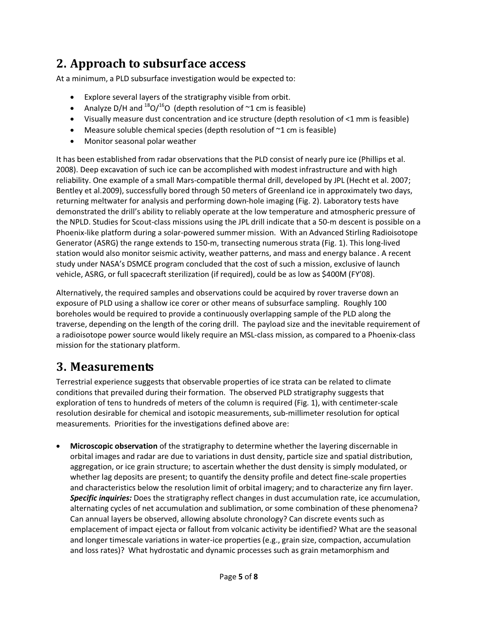# 2. Approach to subsurface access

At a minimum, a PLD subsurface investigation would be expected to:

- Explore several layers of the stratigraphy visible from orbit.
- Analyze D/H and  $^{18}O/^{16}O$  (depth resolution of  $\sim$ 1 cm is feasible)
- Visually measure dust concentration and ice structure (depth resolution of <1 mm is feasible)
- Measure soluble chemical species (depth resolution of  $\sim$ 1 cm is feasible)
- Monitor seasonal polar weather

It has been established from radar observations that the PLD consist of nearly pure ice (Phillips et al. 2008). Deep excavation of such ice can be accomplished with modest infrastructure and with high reliability. One example of a small Mars-compatible thermal drill, developed by JPL (Hecht et al. 2007; Bentley et al.2009), successfully bored through 50 meters of Greenland ice in approximately two days, returning meltwater for analysis and performing down-hole imaging (Fig. 2). Laboratory tests have demonstrated the drill's ability to reliably operate at the low temperature and atmospheric pressure of the NPLD. Studies for Scout-class missions using the JPL drill indicate that a 50-m descent is possible on a Phoenix-like platform during a solar-powered summer mission. With an Advanced Stirling Radioisotope Generator (ASRG) the range extends to 150-m, transecting numerous strata (Fig. 1). This long-lived station would also monitor seismic activity, weather patterns, and mass and energy balance . A recent study under NASA's DSMCE program concluded that the cost of such a mission, exclusive of launch vehicle, ASRG, or full spacecraft sterilization (if required), could be as low as \$400M (FY'08).

Alternatively, the required samples and observations could be acquired by rover traverse down an exposure of PLD using a shallow ice corer or other means of subsurface sampling. Roughly 100 boreholes would be required to provide a continuously overlapping sample of the PLD along the traverse, depending on the length of the coring drill. The payload size and the inevitable requirement of a radioisotope power source would likely require an MSL-class mission, as compared to a Phoenix-class mission for the stationary platform.

## 3. Measurements

Terrestrial experience suggests that observable properties of ice strata can be related to climate conditions that prevailed during their formation. The observed PLD stratigraphy suggests that exploration of tens to hundreds of meters of the column is required (Fig. 1), with centimeter-scale resolution desirable for chemical and isotopic measurements, sub-millimeter resolution for optical measurements. Priorities for the investigations defined above are:

• Microscopic observation of the stratigraphy to determine whether the layering discernable in orbital images and radar are due to variations in dust density, particle size and spatial distribution, aggregation, or ice grain structure; to ascertain whether the dust density is simply modulated, or whether lag deposits are present; to quantify the density profile and detect fine-scale properties and characteristics below the resolution limit of orbital imagery; and to characterize any firn layer. Specific inquiries: Does the stratigraphy reflect changes in dust accumulation rate, ice accumulation, alternating cycles of net accumulation and sublimation, or some combination of these phenomena? Can annual layers be observed, allowing absolute chronology? Can discrete events such as emplacement of impact ejecta or fallout from volcanic activity be identified? What are the seasonal and longer timescale variations in water-ice properties (e.g., grain size, compaction, accumulation and loss rates)? What hydrostatic and dynamic processes such as grain metamorphism and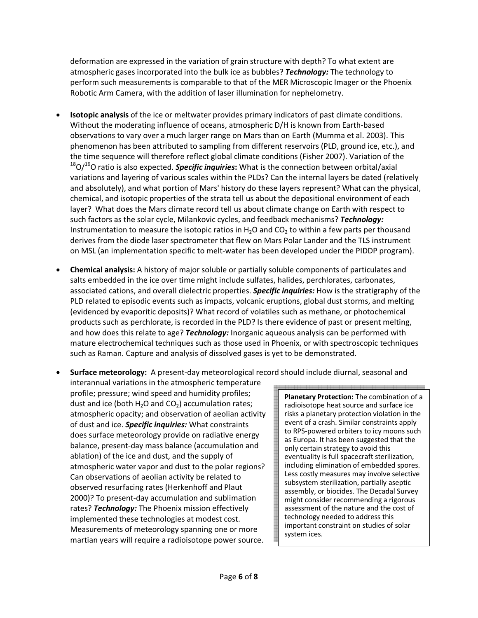deformation are expressed in the variation of grain structure with depth? To what extent are atmospheric gases incorporated into the bulk ice as bubbles? Technology: The technology to perform such measurements is comparable to that of the MER Microscopic Imager or the Phoenix Robotic Arm Camera, with the addition of laser illumination for nephelometry.

- **Isotopic analysis** of the ice or meltwater provides primary indicators of past climate conditions. Without the moderating influence of oceans, atmospheric D/H is known from Earth-based observations to vary over a much larger range on Mars than on Earth (Mumma et al. 2003). This phenomenon has been attributed to sampling from different reservoirs (PLD, ground ice, etc.), and the time sequence will therefore reflect global climate conditions (Fisher 2007). Variation of the  $18$ O/<sup>16</sup>O ratio is also expected. **Specific inquiries:** What is the connection between orbital/axial variations and layering of various scales within the PLDs? Can the internal layers be dated (relatively and absolutely), and what portion of Mars' history do these layers represent? What can the physical, chemical, and isotopic properties of the strata tell us about the depositional environment of each layer? What does the Mars climate record tell us about climate change on Earth with respect to such factors as the solar cycle, Milankovic cycles, and feedback mechanisms? Technology: Instrumentation to measure the isotopic ratios in  $H_2O$  and  $CO<sub>2</sub>$  to within a few parts per thousand derives from the diode laser spectrometer that flew on Mars Polar Lander and the TLS instrument on MSL (an implementation specific to melt-water has been developed under the PIDDP program).
- Chemical analysis: A history of major soluble or partially soluble components of particulates and salts embedded in the ice over time might include sulfates, halides, perchlorates, carbonates, associated cations, and overall dielectric properties. **Specific inquiries:** How is the stratigraphy of the PLD related to episodic events such as impacts, volcanic eruptions, global dust storms, and melting (evidenced by evaporitic deposits)? What record of volatiles such as methane, or photochemical products such as perchlorate, is recorded in the PLD? Is there evidence of past or present melting, and how does this relate to age? Technology: Inorganic aqueous analysis can be performed with mature electrochemical techniques such as those used in Phoenix, or with spectroscopic techniques such as Raman. Capture and analysis of dissolved gases is yet to be demonstrated.
- Surface meteorology: A present-day meteorological record should include diurnal, seasonal and

interannual variations in the atmospheric temperature profile; pressure; wind speed and humidity profiles; dust and ice (both  $H_2O$  and  $CO_2$ ) accumulation rates; atmospheric opacity; and observation of aeolian activity of dust and ice. Specific inquiries: What constraints does surface meteorology provide on radiative energy balance, present-day mass balance (accumulation and ablation) of the ice and dust, and the supply of atmospheric water vapor and dust to the polar regions? Can observations of aeolian activity be related to observed resurfacing rates (Herkenhoff and Plaut 2000)? To present-day accumulation and sublimation rates? Technology: The Phoenix mission effectively implemented these technologies at modest cost. Measurements of meteorology spanning one or more martian years will require a radioisotope power source.

Planetary Protection: The combination of a radioisotope heat source and surface ice risks a planetary protection violation in the event of a crash. Similar constraints apply to RPS-powered orbiters to icy moons such as Europa. It has been suggested that the only certain strategy to avoid this eventuality is full spacecraft sterilization, including elimination of embedded spores. Less costly measures may involve selective subsystem sterilization, partially aseptic assembly, or biocides. The Decadal Survey might consider recommending a rigorous assessment of the nature and the cost of technology needed to address this important constraint on studies of solar system ices.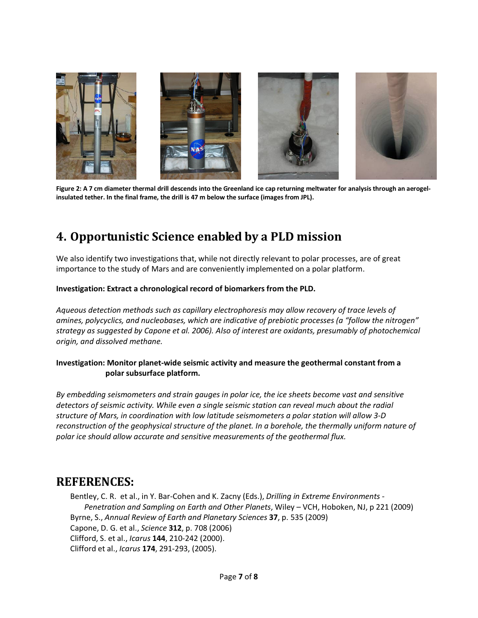

Figure 2: A 7 cm diameter thermal drill descends into the Greenland ice cap returning meltwater for analysis through an aerogelinsulated tether. In the final frame, the drill is 47 m below the surface (images from JPL).

## 4. Opportunistic Science enabled by a PLD mission

We also identify two investigations that, while not directly relevant to polar processes, are of great importance to the study of Mars and are conveniently implemented on a polar platform.

### Investigation: Extract a chronological record of biomarkers from the PLD.

Aqueous detection methods such as capillary electrophoresis may allow recovery of trace levels of amines, polycyclics, and nucleobases, which are indicative of prebiotic processes (a "follow the nitrogen" strategy as suggested by Capone et al. 2006). Also of interest are oxidants, presumably of photochemical origin, and dissolved methane.

### Investigation: Monitor planet-wide seismic activity and measure the geothermal constant from a polar subsurface platform.

By embedding seismometers and strain gauges in polar ice, the ice sheets become vast and sensitive detectors of seismic activity. While even a single seismic station can reveal much about the radial structure of Mars, in coordination with low latitude seismometers a polar station will allow 3-D reconstruction of the geophysical structure of the planet. In a borehole, the thermally uniform nature of polar ice should allow accurate and sensitive measurements of the geothermal flux.

## REFERENCES:

Bentley, C. R. et al., in Y. Bar-Cohen and K. Zacny (Eds.), Drilling in Extreme Environments -Penetration and Sampling on Earth and Other Planets, Wiley – VCH, Hoboken, NJ, p 221 (2009) Byrne, S., Annual Review of Earth and Planetary Sciences 37, p. 535 (2009) Capone, D. G. et al., Science 312, p. 708 (2006) Clifford, S. et al., Icarus 144, 210-242 (2000). Clifford et al., Icarus 174, 291-293, (2005).